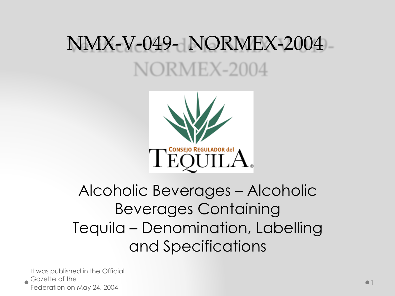## NMX-V-049- NORMEX-2004 NORMEX-2004



#### Alcoholic Beverages – Alcoholic Beverages Containing Tequila – Denomination, Labelling and Specifications

It was published in the Official Gazette of the Federation on May 24, 2004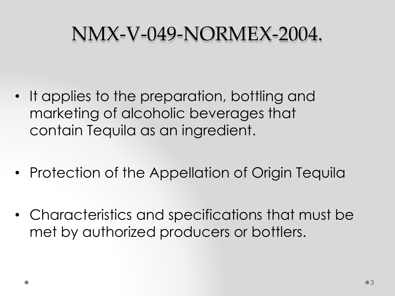### NMX-V-049-NORMEX-2004.

- It applies to the preparation, bottling and marketing of alcoholic beverages that contain Tequila as an ingredient.
- Protection of the Appellation of Origin Tequila
- Characteristics and specifications that must be met by authorized producers or bottlers.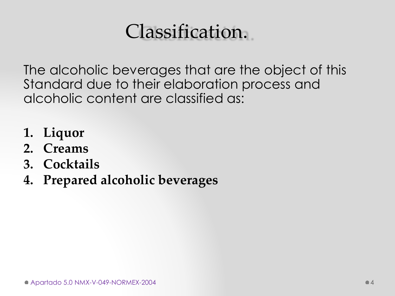### Classification.

The alcoholic beverages that are the object of this Standard due to their elaboration process and alcoholic content are classified as:

- **1. Liquor**
- **2. Creams**
- **3. Cocktails**
- **4. Prepared alcoholic beverages**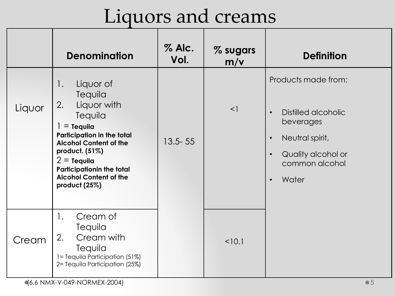### Liquors and creams

|        | <b>Denomination</b>                                                                                                                                                                                                                                                      | $%$ Alc.<br>Vol. | % sugars<br>m/v | <b>Definition</b>                                                                                                                                                               |
|--------|--------------------------------------------------------------------------------------------------------------------------------------------------------------------------------------------------------------------------------------------------------------------------|------------------|-----------------|---------------------------------------------------------------------------------------------------------------------------------------------------------------------------------|
| Liquor | Liquor of<br>1.<br>Tequila<br>Liquor with<br>2.<br>Tequila<br>$=$ Tequila<br><b>Participation in the total</b><br><b>Alcohol Content of the</b><br>product. (51%)<br>$2 =$ Tequila<br><b>Participationin the total</b><br><b>Alcohol Content of the</b><br>product (25%) | $13.5 - 55$      | $\leq$          | Products made from:<br>Distilled alcoholic<br>$\bullet$<br>beverages<br>Neutral spirit,<br>$\bullet$<br>Quality alcohol or<br>$\bullet$<br>common alcohol<br>Water<br>$\bullet$ |
| Cream  | Cream of<br>1.<br>Tequila<br>Cream with<br>2.<br>Tequila<br>1= Tequila Participation (51%)<br>2= Tequila Participation (25%)                                                                                                                                             |                  | < 10.1          |                                                                                                                                                                                 |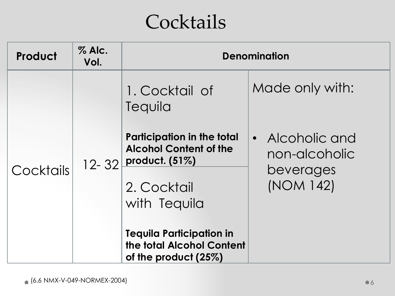### **Cocktails**

| Product   | $%$ Alc.<br>Vol. | <b>Denomination</b>                                                                  |                                             |  |
|-----------|------------------|--------------------------------------------------------------------------------------|---------------------------------------------|--|
|           |                  | 1. Cocktail of<br>Tequila                                                            | Made only with:                             |  |
|           | $12 - 32$        | <b>Participation in the total</b><br><b>Alcohol Content of the</b><br>product. (51%) | Alcoholic and<br>$\bullet$<br>non-alcoholic |  |
| Cocktails |                  | 2. Cocktail<br>with Tequila                                                          | beverages<br>(NOM 142)                      |  |
|           |                  | <b>Tequila Participation in</b><br>the total Alcohol Content<br>of the product (25%) |                                             |  |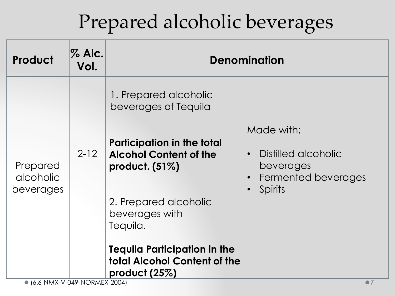# Prepared alcoholic beverages

| Product                | <b>% Alc.</b><br>Vol. | <b>Denomination</b>                                                                     |                                                                    |  |
|------------------------|-----------------------|-----------------------------------------------------------------------------------------|--------------------------------------------------------------------|--|
|                        |                       | 1. Prepared alcoholic<br>beverages of Tequila                                           | Made with:                                                         |  |
| Prepared               | $2 - 12$              | <b>Participation in the total</b><br><b>Alcohol Content of the</b><br>product. $(51\%)$ | Distilled alcoholic<br>beverages<br>Fermented beverages<br>Spirits |  |
| alcoholic<br>beverages |                       | 2. Prepared alcoholic<br>beverages with<br>Tequila.                                     |                                                                    |  |
|                        |                       | <b>Tequila Participation in the</b><br>total Alcohol Content of the<br>product $(25%)$  |                                                                    |  |